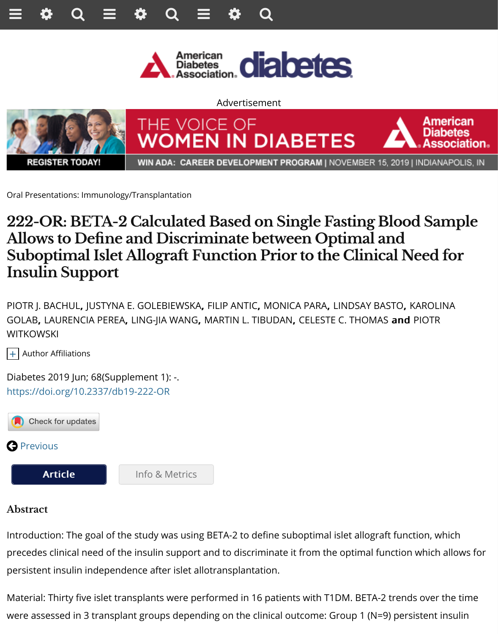

**REGISTER TODAY!** 

WIN ADA: CAREER DEVELOPMENT PROGRAM | NOVEMBER 15, 2019

Oral Presentations: Immunology/Transplantation

## **222-OR: BETA-2 Calculated Based on Single Fasting Blood Allows to Defne and Discriminate between Optimal and Suboptimal Islet Allograft Function Prior to the Clinical N Insulin Support**

PIOTR J. BACHUL, JUSTYNA E. GOLEBIEWSKA, FILIP ANTIC, MONICA PARA, LINDSAY BASTO, K GOLAB, LAURENCIA PEREA, LING-JIA WANG, MARTIN L. TIBUDAN, CELESTE C. THOMAS and **WITKOWSKI** 

+ Author Affiliations

Diabetes 2019 Jun; 68(Supplement 1): -. https://doi.org/10.2337/db19-222-OR



## **Abstract**

Introduction: The goal of the study was using BETA-2 to define suboptimal islet allograft func [precedes cli](http://diabetes.diabetesjournals.org/content/68/6/1359)nical need of the insulin support and to discriminate it from the optimal function [persistent insulin indep](http://diabetes.diabetesjournals.org/content/68/Supplement_1/222-OR)e[ndence after islet allotr](http://diabetes.diabetesjournals.org/content/68/Supplement_1/222-OR.article-info)ansplantation.

Material: Thirty five islet transplants were performed in 16 patients with T1DM. BETA-2 trend were assessed in 3 transplant groups depending on the clinical outcome: Group 1 (N=9) pers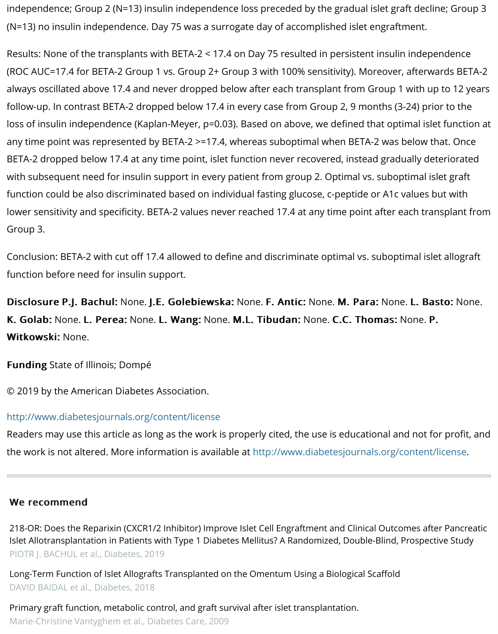follow-up. In contrast BETA-2 dropped below 17.4 in every case from Group 2, 9 months (3-24) loss of insulin independence (Kaplan-Meyer, p=0.03). Based on above, we defined that optim any time point was represented by BETA-2  $\ge$ =17.4, whereas suboptimal when BETA-2 was be BETA-2 dropped below 17.4 at any time point, islet function never recovered, instead gradual with subsequent need for insulin support in every patient from group 2. Optimal vs. subopting function could be also discriminated based on individual fasting glucose, c-peptide or A1c val lower sensitivity and specificity. BETA-2 values never reached 17.4 at any time point after eac Group 3.

Conclusion: BETA-2 with cut off 17.4 allowed to define and discriminate optimal vs. suboptim function before need for insulin support.

Disclosure P.J. Bachul: None. J.E. Golebiewska: None. F. Antic: None. M. Para: None. I K. Golab: None. L. Perea: None. L. Wang: None. M.L. Tibudan: None. C.C. Thomas: No Witkowski: None.

Funding State of Illinois; Dompé

© 2019 by the American Diabetes Association.

## http://www.diabetesjournals.org/content/license

Readers may use this article as long as the work is properly cited, the use is educational and the work is not altered. More information is available at http://www.diabetesjournals.org/cor

## We recommend

218-OR: Does the Reparixin (CXCR1/2 Inhibitor) Improve Islet Cell Engraftment and Clinical Outcome Islet Allotransplantation in Patients with Type 1 Diabetes Mellitus? A Randomized, Double-Blind, Pro PIOTR J. BACHUL et al., Diabetes, 2019

Long-Term Function of Islet Allografts Transplanted on the Omentum Using a Biological Scaffold DAVID BAIDAL et al., Diabetes, 2018

Primary graft function, metabolic control, and graft survival after islet transplantation. [Marie-Christine Vantyghem et al.,](http://diabetes.diabetesjournals.org/content/68/Supplement_1/218-OR?utm_source=TrendMD&utm_medium=cpc&utm_campaign=Diabetes_TrendMD_0) Diabetes Care, 2009